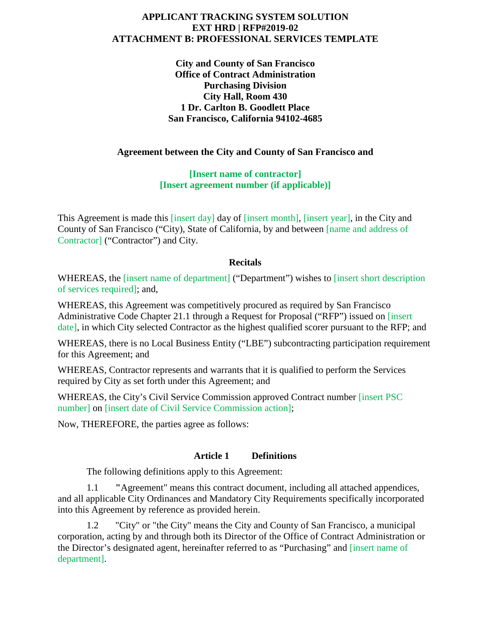#### **APPLICANT TRACKING SYSTEM SOLUTION EXT HRD | RFP#2019-02 ATTACHMENT B: PROFESSIONAL SERVICES TEMPLATE**

**City and County of San Francisco Office of Contract Administration Purchasing Division City Hall, Room 430 1 Dr. Carlton B. Goodlett Place San Francisco, California 94102-4685**

#### **Agreement between the City and County of San Francisco and**

**[Insert name of contractor] [Insert agreement number (if applicable)]**

This Agreement is made this [insert day] day of [insert month], [insert year], in the City and County of San Francisco ("City), State of California, by and between [name and address of Contractor] ("Contractor") and City.

#### **Recitals**

WHEREAS, the [insert name of department] ("Department") wishes to [insert short description of services required]; and,

WHEREAS, this Agreement was competitively procured as required by San Francisco Administrative Code Chapter 21.1 through a Request for Proposal ("RFP") issued on [insert date], in which City selected Contractor as the highest qualified scorer pursuant to the RFP; and

WHEREAS, there is no Local Business Entity ("LBE") subcontracting participation requirement for this Agreement; and

WHEREAS, Contractor represents and warrants that it is qualified to perform the Services required by City as set forth under this Agreement; and

WHEREAS, the City's Civil Service Commission approved Contract number [insert PSC number] on [insert date of Civil Service Commission action];

Now, THEREFORE, the parties agree as follows:

#### **Article 1 Definitions**

The following definitions apply to this Agreement:

1.1 **"**Agreement" means this contract document, including all attached appendices, and all applicable City Ordinances and Mandatory City Requirements specifically incorporated into this Agreement by reference as provided herein.

1.2 "City" or "the City" means the City and County of San Francisco, a municipal corporation, acting by and through both its Director of the Office of Contract Administration or the Director's designated agent, hereinafter referred to as "Purchasing" and [insert name of department].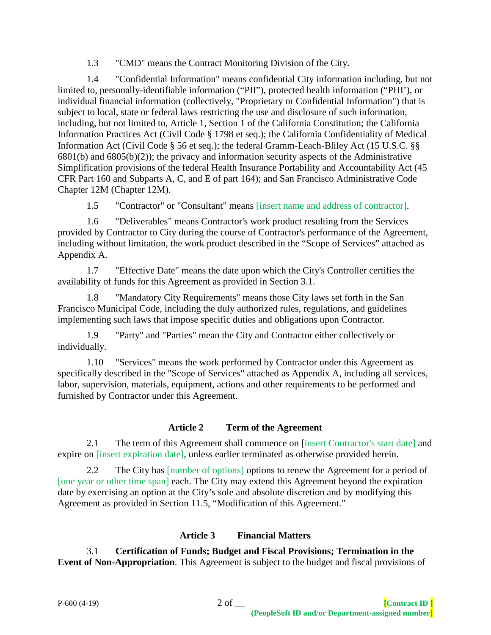1.3 "CMD" means the Contract Monitoring Division of the City.

1.4 "Confidential Information" means confidential City information including, but not limited to, personally-identifiable information ("PII"), protected health information ("PHI'), or individual financial information (collectively, "Proprietary or Confidential Information") that is subject to local, state or federal laws restricting the use and disclosure of such information, including, but not limited to, Article 1, Section 1 of the California Constitution; the California Information Practices Act (Civil Code § 1798 et seq.); the California Confidentiality of Medical Information Act (Civil Code § 56 et seq.); the federal Gramm-Leach-Bliley Act (15 U.S.C. §§ 6801(b) and 6805(b)(2)); the privacy and information security aspects of the Administrative Simplification provisions of the federal Health Insurance Portability and Accountability Act (45 CFR Part 160 and Subparts A, C, and E of part 164); and San Francisco Administrative Code Chapter 12M (Chapter 12M).

1.5 "Contractor" or "Consultant" means [insert name and address of contractor].

1.6 "Deliverables" means Contractor's work product resulting from the Services provided by Contractor to City during the course of Contractor's performance of the Agreement, including without limitation, the work product described in the "Scope of Services" attached as Appendix A.

1.7 "Effective Date" means the date upon which the City's Controller certifies the availability of funds for this Agreement as provided in Section 3.1.

1.8 "Mandatory City Requirements" means those City laws set forth in the San Francisco Municipal Code, including the duly authorized rules, regulations, and guidelines implementing such laws that impose specific duties and obligations upon Contractor.

1.9 "Party" and "Parties" mean the City and Contractor either collectively or individually.

1.10 "Services" means the work performed by Contractor under this Agreement as specifically described in the "Scope of Services" attached as Appendix A, including all services, labor, supervision, materials, equipment, actions and other requirements to be performed and furnished by Contractor under this Agreement.

# **Article 2 Term of the Agreement**

2.1 The term of this Agreement shall commence on [insert Contractor's start date] and expire on [insert expiration date], unless earlier terminated as otherwise provided herein.

2.2 The City has [number of options] options to renew the Agreement for a period of [one year or other time span] each. The City may extend this Agreement beyond the expiration date by exercising an option at the City's sole and absolute discretion and by modifying this Agreement as provided in Section 11.5, "Modification of this Agreement."

# **Article 3 Financial Matters**

3.1 **Certification of Funds; Budget and Fiscal Provisions; Termination in the Event of Non-Appropriation**. This Agreement is subject to the budget and fiscal provisions of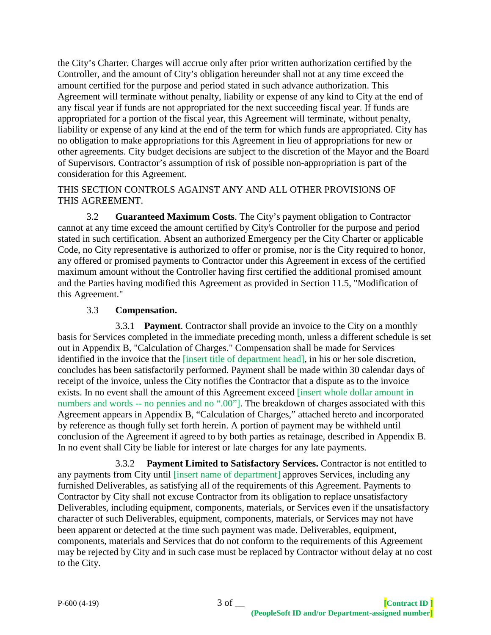the City's Charter. Charges will accrue only after prior written authorization certified by the Controller, and the amount of City's obligation hereunder shall not at any time exceed the amount certified for the purpose and period stated in such advance authorization. This Agreement will terminate without penalty, liability or expense of any kind to City at the end of any fiscal year if funds are not appropriated for the next succeeding fiscal year. If funds are appropriated for a portion of the fiscal year, this Agreement will terminate, without penalty, liability or expense of any kind at the end of the term for which funds are appropriated. City has no obligation to make appropriations for this Agreement in lieu of appropriations for new or other agreements. City budget decisions are subject to the discretion of the Mayor and the Board of Supervisors. Contractor's assumption of risk of possible non-appropriation is part of the consideration for this Agreement.

#### THIS SECTION CONTROLS AGAINST ANY AND ALL OTHER PROVISIONS OF THIS AGREEMENT.

3.2 **Guaranteed Maximum Costs**. The City's payment obligation to Contractor cannot at any time exceed the amount certified by City's Controller for the purpose and period stated in such certification. Absent an authorized Emergency per the City Charter or applicable Code, no City representative is authorized to offer or promise, nor is the City required to honor, any offered or promised payments to Contractor under this Agreement in excess of the certified maximum amount without the Controller having first certified the additional promised amount and the Parties having modified this Agreement as provided in Section 11.5, "Modification of this Agreement."

# 3.3 **Compensation.**

3.3.1 **Payment**. Contractor shall provide an invoice to the City on a monthly basis for Services completed in the immediate preceding month, unless a different schedule is set out in Appendix B, "Calculation of Charges." Compensation shall be made for Services identified in the invoice that the [insert title of department head], in his or her sole discretion, concludes has been satisfactorily performed. Payment shall be made within 30 calendar days of receipt of the invoice, unless the City notifies the Contractor that a dispute as to the invoice exists. In no event shall the amount of this Agreement exceed [insert whole dollar amount in numbers and words -- no pennies and no ".00"]. The breakdown of charges associated with this Agreement appears in Appendix B, "Calculation of Charges," attached hereto and incorporated by reference as though fully set forth herein. A portion of payment may be withheld until conclusion of the Agreement if agreed to by both parties as retainage, described in Appendix B. In no event shall City be liable for interest or late charges for any late payments.

3.3.2 **Payment Limited to Satisfactory Services.** Contractor is not entitled to any payments from City until [insert name of department] approves Services, including any furnished Deliverables, as satisfying all of the requirements of this Agreement. Payments to Contractor by City shall not excuse Contractor from its obligation to replace unsatisfactory Deliverables, including equipment, components, materials, or Services even if the unsatisfactory character of such Deliverables, equipment, components, materials, or Services may not have been apparent or detected at the time such payment was made. Deliverables, equipment, components, materials and Services that do not conform to the requirements of this Agreement may be rejected by City and in such case must be replaced by Contractor without delay at no cost to the City.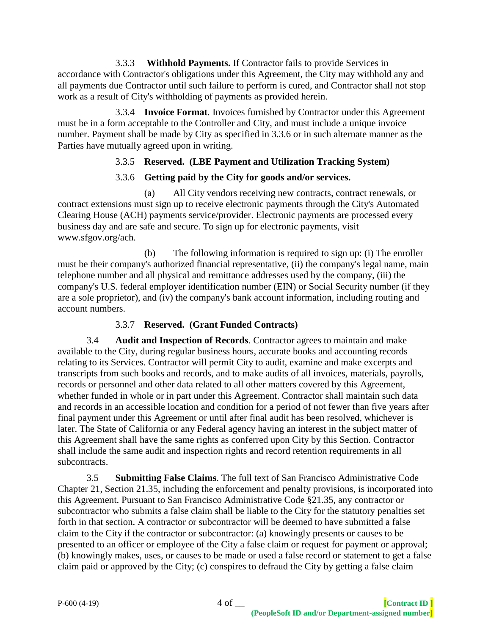3.3.3 **Withhold Payments.** If Contractor fails to provide Services in accordance with Contractor's obligations under this Agreement, the City may withhold any and all payments due Contractor until such failure to perform is cured, and Contractor shall not stop work as a result of City's withholding of payments as provided herein.

3.3.4 **Invoice Format**. Invoices furnished by Contractor under this Agreement must be in a form acceptable to the Controller and City, and must include a unique invoice number. Payment shall be made by City as specified in 3.3.6 or in such alternate manner as the Parties have mutually agreed upon in writing.

# 3.3.5 **Reserved. (LBE Payment and Utilization Tracking System)**

# 3.3.6 **Getting paid by the City for goods and/or services.**

(a) All City vendors receiving new contracts, contract renewals, or contract extensions must sign up to receive electronic payments through the City's Automated Clearing House (ACH) payments service/provider. Electronic payments are processed every business day and are safe and secure. To sign up for electronic payments, visit www.sfgov.org/ach.

(b) The following information is required to sign up: (i) The enroller must be their company's authorized financial representative, (ii) the company's legal name, main telephone number and all physical and remittance addresses used by the company, (iii) the company's U.S. federal employer identification number (EIN) or Social Security number (if they are a sole proprietor), and (iv) the company's bank account information, including routing and account numbers.

# 3.3.7 **Reserved. (Grant Funded Contracts)**

3.4 **Audit and Inspection of Records**. Contractor agrees to maintain and make available to the City, during regular business hours, accurate books and accounting records relating to its Services. Contractor will permit City to audit, examine and make excerpts and transcripts from such books and records, and to make audits of all invoices, materials, payrolls, records or personnel and other data related to all other matters covered by this Agreement, whether funded in whole or in part under this Agreement. Contractor shall maintain such data and records in an accessible location and condition for a period of not fewer than five years after final payment under this Agreement or until after final audit has been resolved, whichever is later. The State of California or any Federal agency having an interest in the subject matter of this Agreement shall have the same rights as conferred upon City by this Section. Contractor shall include the same audit and inspection rights and record retention requirements in all subcontracts.

3.5 **Submitting False Claims**. The full text of San Francisco Administrative Code Chapter 21, Section 21.35, including the enforcement and penalty provisions, is incorporated into this Agreement. Pursuant to San Francisco Administrative Code §21.35, any contractor or subcontractor who submits a false claim shall be liable to the City for the statutory penalties set forth in that section. A contractor or subcontractor will be deemed to have submitted a false claim to the City if the contractor or subcontractor: (a) knowingly presents or causes to be presented to an officer or employee of the City a false claim or request for payment or approval; (b) knowingly makes, uses, or causes to be made or used a false record or statement to get a false claim paid or approved by the City; (c) conspires to defraud the City by getting a false claim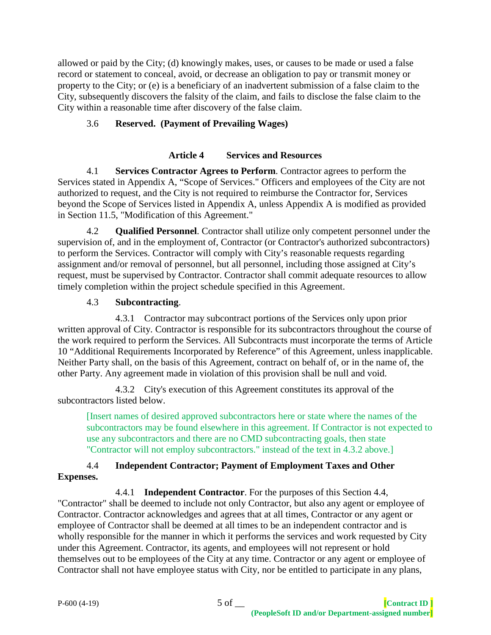allowed or paid by the City; (d) knowingly makes, uses, or causes to be made or used a false record or statement to conceal, avoid, or decrease an obligation to pay or transmit money or property to the City; or (e) is a beneficiary of an inadvertent submission of a false claim to the City, subsequently discovers the falsity of the claim, and fails to disclose the false claim to the City within a reasonable time after discovery of the false claim.

# 3.6 **Reserved. (Payment of Prevailing Wages)**

### **Article 4 Services and Resources**

4.1 **Services Contractor Agrees to Perform**. Contractor agrees to perform the Services stated in Appendix A, "Scope of Services." Officers and employees of the City are not authorized to request, and the City is not required to reimburse the Contractor for, Services beyond the Scope of Services listed in Appendix A, unless Appendix A is modified as provided in Section 11.5, "Modification of this Agreement."

4.2 **Qualified Personnel**. Contractor shall utilize only competent personnel under the supervision of, and in the employment of, Contractor (or Contractor's authorized subcontractors) to perform the Services. Contractor will comply with City's reasonable requests regarding assignment and/or removal of personnel, but all personnel, including those assigned at City's request, must be supervised by Contractor. Contractor shall commit adequate resources to allow timely completion within the project schedule specified in this Agreement.

### 4.3 **Subcontracting**.

4.3.1 Contractor may subcontract portions of the Services only upon prior written approval of City. Contractor is responsible for its subcontractors throughout the course of the work required to perform the Services. All Subcontracts must incorporate the terms of Article 10 "Additional Requirements Incorporated by Reference" of this Agreement, unless inapplicable. Neither Party shall, on the basis of this Agreement, contract on behalf of, or in the name of, the other Party. Any agreement made in violation of this provision shall be null and void.

4.3.2 City's execution of this Agreement constitutes its approval of the subcontractors listed below.

[Insert names of desired approved subcontractors here or state where the names of the subcontractors may be found elsewhere in this agreement. If Contractor is not expected to use any subcontractors and there are no CMD subcontracting goals, then state "Contractor will not employ subcontractors." instead of the text in 4.3.2 above.]

### 4.4 **Independent Contractor; Payment of Employment Taxes and Other Expenses.**

4.4.1 **Independent Contractor**. For the purposes of this Section 4.4, "Contractor" shall be deemed to include not only Contractor, but also any agent or employee of Contractor. Contractor acknowledges and agrees that at all times, Contractor or any agent or employee of Contractor shall be deemed at all times to be an independent contractor and is wholly responsible for the manner in which it performs the services and work requested by City under this Agreement. Contractor, its agents, and employees will not represent or hold themselves out to be employees of the City at any time. Contractor or any agent or employee of Contractor shall not have employee status with City, nor be entitled to participate in any plans,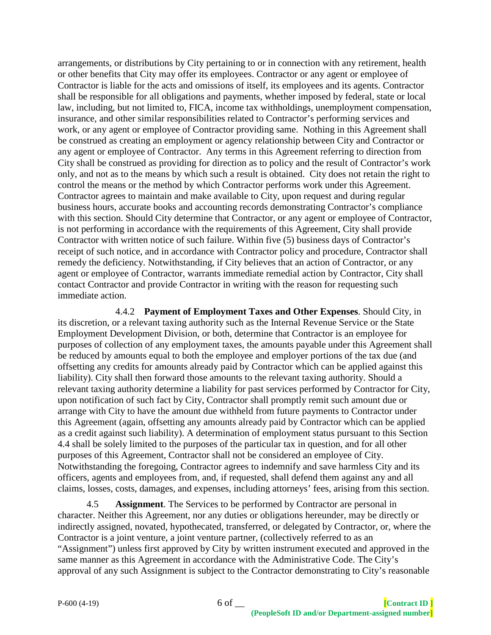arrangements, or distributions by City pertaining to or in connection with any retirement, health or other benefits that City may offer its employees. Contractor or any agent or employee of Contractor is liable for the acts and omissions of itself, its employees and its agents. Contractor shall be responsible for all obligations and payments, whether imposed by federal, state or local law, including, but not limited to, FICA, income tax withholdings, unemployment compensation, insurance, and other similar responsibilities related to Contractor's performing services and work, or any agent or employee of Contractor providing same. Nothing in this Agreement shall be construed as creating an employment or agency relationship between City and Contractor or any agent or employee of Contractor. Any terms in this Agreement referring to direction from City shall be construed as providing for direction as to policy and the result of Contractor's work only, and not as to the means by which such a result is obtained. City does not retain the right to control the means or the method by which Contractor performs work under this Agreement. Contractor agrees to maintain and make available to City, upon request and during regular business hours, accurate books and accounting records demonstrating Contractor's compliance with this section. Should City determine that Contractor, or any agent or employee of Contractor, is not performing in accordance with the requirements of this Agreement, City shall provide Contractor with written notice of such failure. Within five (5) business days of Contractor's receipt of such notice, and in accordance with Contractor policy and procedure, Contractor shall remedy the deficiency. Notwithstanding, if City believes that an action of Contractor, or any agent or employee of Contractor, warrants immediate remedial action by Contractor, City shall contact Contractor and provide Contractor in writing with the reason for requesting such immediate action.

4.4.2 **Payment of Employment Taxes and Other Expenses**. Should City, in its discretion, or a relevant taxing authority such as the Internal Revenue Service or the State Employment Development Division, or both, determine that Contractor is an employee for purposes of collection of any employment taxes, the amounts payable under this Agreement shall be reduced by amounts equal to both the employee and employer portions of the tax due (and offsetting any credits for amounts already paid by Contractor which can be applied against this liability). City shall then forward those amounts to the relevant taxing authority. Should a relevant taxing authority determine a liability for past services performed by Contractor for City, upon notification of such fact by City, Contractor shall promptly remit such amount due or arrange with City to have the amount due withheld from future payments to Contractor under this Agreement (again, offsetting any amounts already paid by Contractor which can be applied as a credit against such liability). A determination of employment status pursuant to this Section 4.4 shall be solely limited to the purposes of the particular tax in question, and for all other purposes of this Agreement, Contractor shall not be considered an employee of City. Notwithstanding the foregoing, Contractor agrees to indemnify and save harmless City and its officers, agents and employees from, and, if requested, shall defend them against any and all claims, losses, costs, damages, and expenses, including attorneys' fees, arising from this section.

4.5 **Assignment**. The Services to be performed by Contractor are personal in character. Neither this Agreement, nor any duties or obligations hereunder, may be directly or indirectly assigned, novated, hypothecated, transferred, or delegated by Contractor, or, where the Contractor is a joint venture, a joint venture partner, (collectively referred to as an "Assignment") unless first approved by City by written instrument executed and approved in the same manner as this Agreement in accordance with the Administrative Code. The City's approval of any such Assignment is subject to the Contractor demonstrating to City's reasonable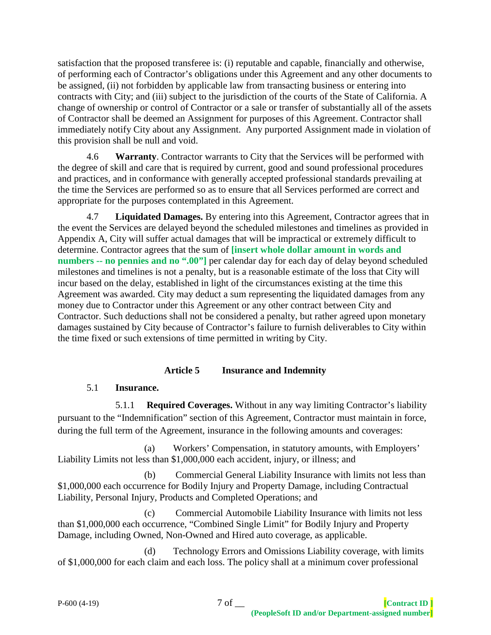satisfaction that the proposed transferee is: (i) reputable and capable, financially and otherwise, of performing each of Contractor's obligations under this Agreement and any other documents to be assigned, (ii) not forbidden by applicable law from transacting business or entering into contracts with City; and (iii) subject to the jurisdiction of the courts of the State of California. A change of ownership or control of Contractor or a sale or transfer of substantially all of the assets of Contractor shall be deemed an Assignment for purposes of this Agreement. Contractor shall immediately notify City about any Assignment. Any purported Assignment made in violation of this provision shall be null and void.

4.6 **Warranty**. Contractor warrants to City that the Services will be performed with the degree of skill and care that is required by current, good and sound professional procedures and practices, and in conformance with generally accepted professional standards prevailing at the time the Services are performed so as to ensure that all Services performed are correct and appropriate for the purposes contemplated in this Agreement.

4.7 **Liquidated Damages.** By entering into this Agreement, Contractor agrees that in the event the Services are delayed beyond the scheduled milestones and timelines as provided in Appendix A, City will suffer actual damages that will be impractical or extremely difficult to determine. Contractor agrees that the sum of **[insert whole dollar amount in words and numbers -- no pennies and no ".00"]** per calendar day for each day of delay beyond scheduled milestones and timelines is not a penalty, but is a reasonable estimate of the loss that City will incur based on the delay, established in light of the circumstances existing at the time this Agreement was awarded. City may deduct a sum representing the liquidated damages from any money due to Contractor under this Agreement or any other contract between City and Contractor. Such deductions shall not be considered a penalty, but rather agreed upon monetary damages sustained by City because of Contractor's failure to furnish deliverables to City within the time fixed or such extensions of time permitted in writing by City.

### **Article 5 Insurance and Indemnity**

# 5.1 **Insurance.**

5.1.1 **Required Coverages.** Without in any way limiting Contractor's liability pursuant to the "Indemnification" section of this Agreement, Contractor must maintain in force, during the full term of the Agreement, insurance in the following amounts and coverages:

(a) Workers' Compensation, in statutory amounts, with Employers' Liability Limits not less than \$1,000,000 each accident, injury, or illness; and

(b) Commercial General Liability Insurance with limits not less than \$1,000,000 each occurrence for Bodily Injury and Property Damage, including Contractual Liability, Personal Injury, Products and Completed Operations; and

(c) Commercial Automobile Liability Insurance with limits not less than \$1,000,000 each occurrence, "Combined Single Limit" for Bodily Injury and Property Damage, including Owned, Non-Owned and Hired auto coverage, as applicable.

(d) Technology Errors and Omissions Liability coverage, with limits of \$1,000,000 for each claim and each loss. The policy shall at a minimum cover professional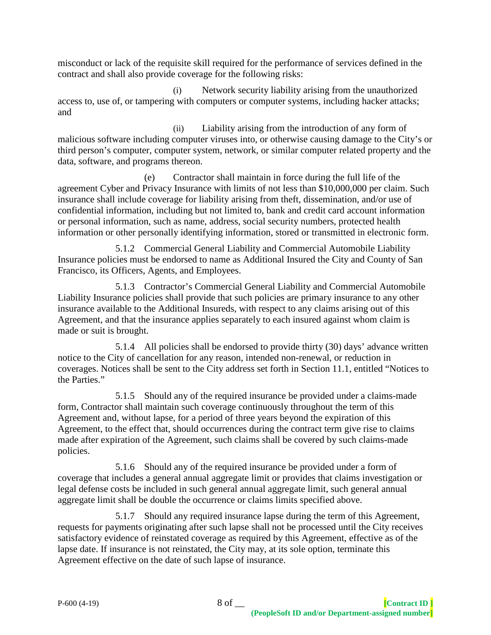misconduct or lack of the requisite skill required for the performance of services defined in the contract and shall also provide coverage for the following risks:

(i) Network security liability arising from the unauthorized access to, use of, or tampering with computers or computer systems, including hacker attacks; and

(ii) Liability arising from the introduction of any form of malicious software including computer viruses into, or otherwise causing damage to the City's or third person's computer, computer system, network, or similar computer related property and the data, software, and programs thereon.

(e) Contractor shall maintain in force during the full life of the agreement Cyber and Privacy Insurance with limits of not less than \$10,000,000 per claim. Such insurance shall include coverage for liability arising from theft, dissemination, and/or use of confidential information, including but not limited to, bank and credit card account information or personal information, such as name, address, social security numbers, protected health information or other personally identifying information, stored or transmitted in electronic form.

5.1.2 Commercial General Liability and Commercial Automobile Liability Insurance policies must be endorsed to name as Additional Insured the City and County of San Francisco, its Officers, Agents, and Employees.

5.1.3 Contractor's Commercial General Liability and Commercial Automobile Liability Insurance policies shall provide that such policies are primary insurance to any other insurance available to the Additional Insureds, with respect to any claims arising out of this Agreement, and that the insurance applies separately to each insured against whom claim is made or suit is brought.

5.1.4 All policies shall be endorsed to provide thirty (30) days' advance written notice to the City of cancellation for any reason, intended non-renewal, or reduction in coverages. Notices shall be sent to the City address set forth in Section 11.1, entitled "Notices to the Parties."

5.1.5 Should any of the required insurance be provided under a claims-made form, Contractor shall maintain such coverage continuously throughout the term of this Agreement and, without lapse, for a period of three years beyond the expiration of this Agreement, to the effect that, should occurrences during the contract term give rise to claims made after expiration of the Agreement, such claims shall be covered by such claims-made policies.

5.1.6 Should any of the required insurance be provided under a form of coverage that includes a general annual aggregate limit or provides that claims investigation or legal defense costs be included in such general annual aggregate limit, such general annual aggregate limit shall be double the occurrence or claims limits specified above.

5.1.7 Should any required insurance lapse during the term of this Agreement, requests for payments originating after such lapse shall not be processed until the City receives satisfactory evidence of reinstated coverage as required by this Agreement, effective as of the lapse date. If insurance is not reinstated, the City may, at its sole option, terminate this Agreement effective on the date of such lapse of insurance.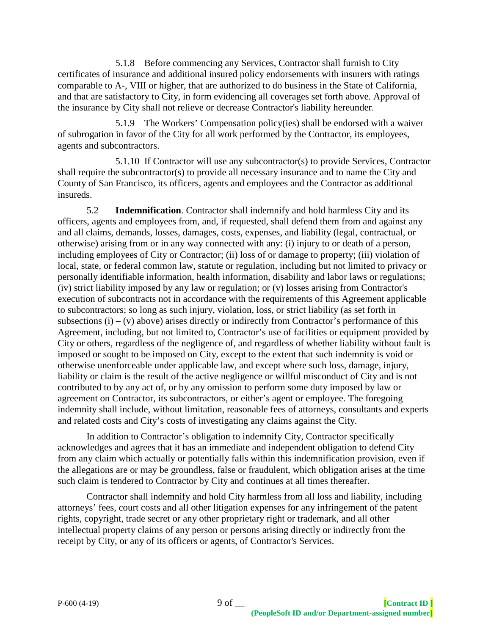5.1.8 Before commencing any Services, Contractor shall furnish to City certificates of insurance and additional insured policy endorsements with insurers with ratings comparable to A-, VIII or higher, that are authorized to do business in the State of California, and that are satisfactory to City, in form evidencing all coverages set forth above. Approval of the insurance by City shall not relieve or decrease Contractor's liability hereunder.

5.1.9 The Workers' Compensation policy(ies) shall be endorsed with a waiver of subrogation in favor of the City for all work performed by the Contractor, its employees, agents and subcontractors.

5.1.10 If Contractor will use any subcontractor(s) to provide Services, Contractor shall require the subcontractor(s) to provide all necessary insurance and to name the City and County of San Francisco, its officers, agents and employees and the Contractor as additional insureds.

5.2 **Indemnification**. Contractor shall indemnify and hold harmless City and its officers, agents and employees from, and, if requested, shall defend them from and against any and all claims, demands, losses, damages, costs, expenses, and liability (legal, contractual, or otherwise) arising from or in any way connected with any: (i) injury to or death of a person, including employees of City or Contractor; (ii) loss of or damage to property; (iii) violation of local, state, or federal common law, statute or regulation, including but not limited to privacy or personally identifiable information, health information, disability and labor laws or regulations; (iv) strict liability imposed by any law or regulation; or (v) losses arising from Contractor's execution of subcontracts not in accordance with the requirements of this Agreement applicable to subcontractors; so long as such injury, violation, loss, or strict liability (as set forth in subsections  $(i) - (v)$  above) arises directly or indirectly from Contractor's performance of this Agreement, including, but not limited to, Contractor's use of facilities or equipment provided by City or others, regardless of the negligence of, and regardless of whether liability without fault is imposed or sought to be imposed on City, except to the extent that such indemnity is void or otherwise unenforceable under applicable law, and except where such loss, damage, injury, liability or claim is the result of the active negligence or willful misconduct of City and is not contributed to by any act of, or by any omission to perform some duty imposed by law or agreement on Contractor, its subcontractors, or either's agent or employee. The foregoing indemnity shall include, without limitation, reasonable fees of attorneys, consultants and experts and related costs and City's costs of investigating any claims against the City.

In addition to Contractor's obligation to indemnify City, Contractor specifically acknowledges and agrees that it has an immediate and independent obligation to defend City from any claim which actually or potentially falls within this indemnification provision, even if the allegations are or may be groundless, false or fraudulent, which obligation arises at the time such claim is tendered to Contractor by City and continues at all times thereafter.

Contractor shall indemnify and hold City harmless from all loss and liability, including attorneys' fees, court costs and all other litigation expenses for any infringement of the patent rights, copyright, trade secret or any other proprietary right or trademark, and all other intellectual property claims of any person or persons arising directly or indirectly from the receipt by City, or any of its officers or agents, of Contractor's Services.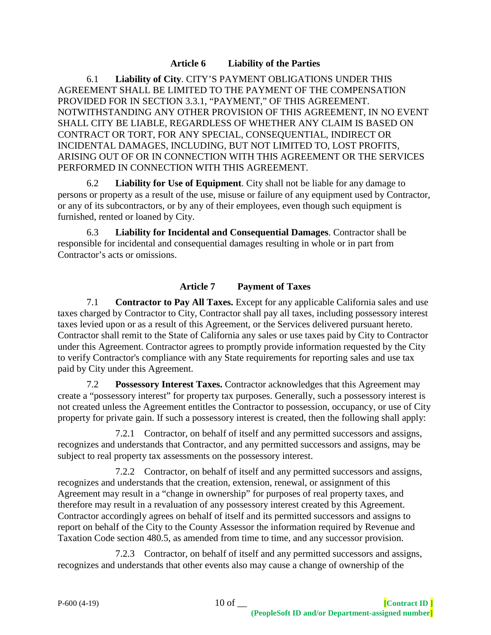#### **Article 6 Liability of the Parties**

6.1 **Liability of City**. CITY'S PAYMENT OBLIGATIONS UNDER THIS AGREEMENT SHALL BE LIMITED TO THE PAYMENT OF THE COMPENSATION PROVIDED FOR IN SECTION 3.3.1, "PAYMENT," OF THIS AGREEMENT. NOTWITHSTANDING ANY OTHER PROVISION OF THIS AGREEMENT, IN NO EVENT SHALL CITY BE LIABLE, REGARDLESS OF WHETHER ANY CLAIM IS BASED ON CONTRACT OR TORT, FOR ANY SPECIAL, CONSEQUENTIAL, INDIRECT OR INCIDENTAL DAMAGES, INCLUDING, BUT NOT LIMITED TO, LOST PROFITS, ARISING OUT OF OR IN CONNECTION WITH THIS AGREEMENT OR THE SERVICES PERFORMED IN CONNECTION WITH THIS AGREEMENT.

6.2 **Liability for Use of Equipment**. City shall not be liable for any damage to persons or property as a result of the use, misuse or failure of any equipment used by Contractor, or any of its subcontractors, or by any of their employees, even though such equipment is furnished, rented or loaned by City.

6.3 **Liability for Incidental and Consequential Damages**. Contractor shall be responsible for incidental and consequential damages resulting in whole or in part from Contractor's acts or omissions.

#### **Article 7 Payment of Taxes**

7.1 **Contractor to Pay All Taxes.** Except for any applicable California sales and use taxes charged by Contractor to City, Contractor shall pay all taxes, including possessory interest taxes levied upon or as a result of this Agreement, or the Services delivered pursuant hereto. Contractor shall remit to the State of California any sales or use taxes paid by City to Contractor under this Agreement. Contractor agrees to promptly provide information requested by the City to verify Contractor's compliance with any State requirements for reporting sales and use tax paid by City under this Agreement.

7.2 **Possessory Interest Taxes.** Contractor acknowledges that this Agreement may create a "possessory interest" for property tax purposes. Generally, such a possessory interest is not created unless the Agreement entitles the Contractor to possession, occupancy, or use of City property for private gain. If such a possessory interest is created, then the following shall apply:

7.2.1 Contractor, on behalf of itself and any permitted successors and assigns, recognizes and understands that Contractor, and any permitted successors and assigns, may be subject to real property tax assessments on the possessory interest.

7.2.2 Contractor, on behalf of itself and any permitted successors and assigns, recognizes and understands that the creation, extension, renewal, or assignment of this Agreement may result in a "change in ownership" for purposes of real property taxes, and therefore may result in a revaluation of any possessory interest created by this Agreement. Contractor accordingly agrees on behalf of itself and its permitted successors and assigns to report on behalf of the City to the County Assessor the information required by Revenue and Taxation Code section 480.5, as amended from time to time, and any successor provision.

7.2.3 Contractor, on behalf of itself and any permitted successors and assigns, recognizes and understands that other events also may cause a change of ownership of the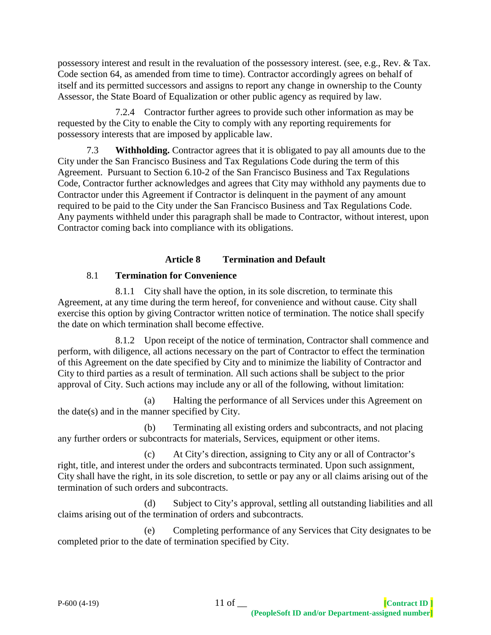possessory interest and result in the revaluation of the possessory interest. (see, e.g., Rev. & Tax. Code section 64, as amended from time to time). Contractor accordingly agrees on behalf of itself and its permitted successors and assigns to report any change in ownership to the County Assessor, the State Board of Equalization or other public agency as required by law.

7.2.4 Contractor further agrees to provide such other information as may be requested by the City to enable the City to comply with any reporting requirements for possessory interests that are imposed by applicable law.

7.3 **Withholding.** Contractor agrees that it is obligated to pay all amounts due to the City under the San Francisco Business and Tax Regulations Code during the term of this Agreement. Pursuant to Section 6.10-2 of the San Francisco Business and Tax Regulations Code, Contractor further acknowledges and agrees that City may withhold any payments due to Contractor under this Agreement if Contractor is delinquent in the payment of any amount required to be paid to the City under the San Francisco Business and Tax Regulations Code. Any payments withheld under this paragraph shall be made to Contractor, without interest, upon Contractor coming back into compliance with its obligations.

# **Article 8 Termination and Default**

# 8.1 **Termination for Convenience**

8.1.1 City shall have the option, in its sole discretion, to terminate this Agreement, at any time during the term hereof, for convenience and without cause. City shall exercise this option by giving Contractor written notice of termination. The notice shall specify the date on which termination shall become effective.

8.1.2 Upon receipt of the notice of termination, Contractor shall commence and perform, with diligence, all actions necessary on the part of Contractor to effect the termination of this Agreement on the date specified by City and to minimize the liability of Contractor and City to third parties as a result of termination. All such actions shall be subject to the prior approval of City. Such actions may include any or all of the following, without limitation:

(a) Halting the performance of all Services under this Agreement on the date(s) and in the manner specified by City.

(b) Terminating all existing orders and subcontracts, and not placing any further orders or subcontracts for materials, Services, equipment or other items.

(c) At City's direction, assigning to City any or all of Contractor's right, title, and interest under the orders and subcontracts terminated. Upon such assignment, City shall have the right, in its sole discretion, to settle or pay any or all claims arising out of the termination of such orders and subcontracts.

(d) Subject to City's approval, settling all outstanding liabilities and all claims arising out of the termination of orders and subcontracts.

(e) Completing performance of any Services that City designates to be completed prior to the date of termination specified by City.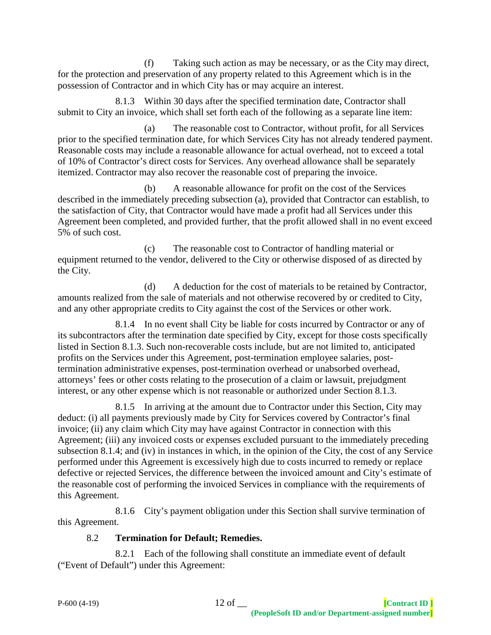(f) Taking such action as may be necessary, or as the City may direct, for the protection and preservation of any property related to this Agreement which is in the possession of Contractor and in which City has or may acquire an interest.

8.1.3 Within 30 days after the specified termination date, Contractor shall submit to City an invoice, which shall set forth each of the following as a separate line item:

(a) The reasonable cost to Contractor, without profit, for all Services prior to the specified termination date, for which Services City has not already tendered payment. Reasonable costs may include a reasonable allowance for actual overhead, not to exceed a total of 10% of Contractor's direct costs for Services. Any overhead allowance shall be separately itemized. Contractor may also recover the reasonable cost of preparing the invoice.

(b) A reasonable allowance for profit on the cost of the Services described in the immediately preceding subsection (a), provided that Contractor can establish, to the satisfaction of City, that Contractor would have made a profit had all Services under this Agreement been completed, and provided further, that the profit allowed shall in no event exceed 5% of such cost.

(c) The reasonable cost to Contractor of handling material or equipment returned to the vendor, delivered to the City or otherwise disposed of as directed by the City.

(d) A deduction for the cost of materials to be retained by Contractor, amounts realized from the sale of materials and not otherwise recovered by or credited to City, and any other appropriate credits to City against the cost of the Services or other work.

8.1.4 In no event shall City be liable for costs incurred by Contractor or any of its subcontractors after the termination date specified by City, except for those costs specifically listed in Section 8.1.3. Such non-recoverable costs include, but are not limited to, anticipated profits on the Services under this Agreement, post-termination employee salaries, posttermination administrative expenses, post-termination overhead or unabsorbed overhead, attorneys' fees or other costs relating to the prosecution of a claim or lawsuit, prejudgment interest, or any other expense which is not reasonable or authorized under Section 8.1.3.

8.1.5 In arriving at the amount due to Contractor under this Section, City may deduct: (i) all payments previously made by City for Services covered by Contractor's final invoice; (ii) any claim which City may have against Contractor in connection with this Agreement; (iii) any invoiced costs or expenses excluded pursuant to the immediately preceding subsection 8.1.4; and (iv) in instances in which, in the opinion of the City, the cost of any Service performed under this Agreement is excessively high due to costs incurred to remedy or replace defective or rejected Services, the difference between the invoiced amount and City's estimate of the reasonable cost of performing the invoiced Services in compliance with the requirements of this Agreement.

8.1.6 City's payment obligation under this Section shall survive termination of this Agreement.

# 8.2 **Termination for Default; Remedies.**

8.2.1 Each of the following shall constitute an immediate event of default ("Event of Default") under this Agreement: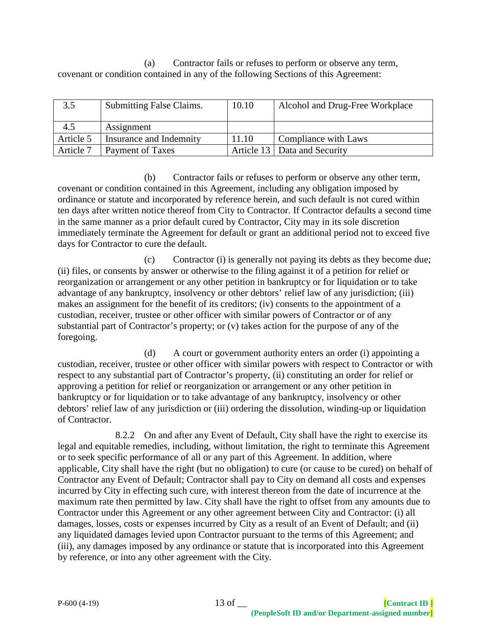(a) Contractor fails or refuses to perform or observe any term, covenant or condition contained in any of the following Sections of this Agreement:

| 3.5       | <b>Submitting False Claims.</b> | 10.10 | Alcohol and Drug-Free Workplace |
|-----------|---------------------------------|-------|---------------------------------|
| 4.5       | Assignment                      |       |                                 |
| Article 5 | Insurance and Indemnity         | 11.10 | Compliance with Laws            |
| Article 7 | Payment of Taxes                |       | Article 13   Data and Security  |

(b) Contractor fails or refuses to perform or observe any other term, covenant or condition contained in this Agreement, including any obligation imposed by ordinance or statute and incorporated by reference herein, and such default is not cured within ten days after written notice thereof from City to Contractor. If Contractor defaults a second time in the same manner as a prior default cured by Contractor, City may in its sole discretion immediately terminate the Agreement for default or grant an additional period not to exceed five days for Contractor to cure the default.

(c) Contractor (i) is generally not paying its debts as they become due; (ii) files, or consents by answer or otherwise to the filing against it of a petition for relief or reorganization or arrangement or any other petition in bankruptcy or for liquidation or to take advantage of any bankruptcy, insolvency or other debtors' relief law of any jurisdiction; (iii) makes an assignment for the benefit of its creditors; (iv) consents to the appointment of a custodian, receiver, trustee or other officer with similar powers of Contractor or of any substantial part of Contractor's property; or (v) takes action for the purpose of any of the foregoing.

(d) A court or government authority enters an order (i) appointing a custodian, receiver, trustee or other officer with similar powers with respect to Contractor or with respect to any substantial part of Contractor's property, (ii) constituting an order for relief or approving a petition for relief or reorganization or arrangement or any other petition in bankruptcy or for liquidation or to take advantage of any bankruptcy, insolvency or other debtors' relief law of any jurisdiction or (iii) ordering the dissolution, winding-up or liquidation of Contractor.

8.2.2 On and after any Event of Default, City shall have the right to exercise its legal and equitable remedies, including, without limitation, the right to terminate this Agreement or to seek specific performance of all or any part of this Agreement. In addition, where applicable, City shall have the right (but no obligation) to cure (or cause to be cured) on behalf of Contractor any Event of Default; Contractor shall pay to City on demand all costs and expenses incurred by City in effecting such cure, with interest thereon from the date of incurrence at the maximum rate then permitted by law. City shall have the right to offset from any amounts due to Contractor under this Agreement or any other agreement between City and Contractor: (i) all damages, losses, costs or expenses incurred by City as a result of an Event of Default; and (ii) any liquidated damages levied upon Contractor pursuant to the terms of this Agreement; and (iii), any damages imposed by any ordinance or statute that is incorporated into this Agreement by reference, or into any other agreement with the City.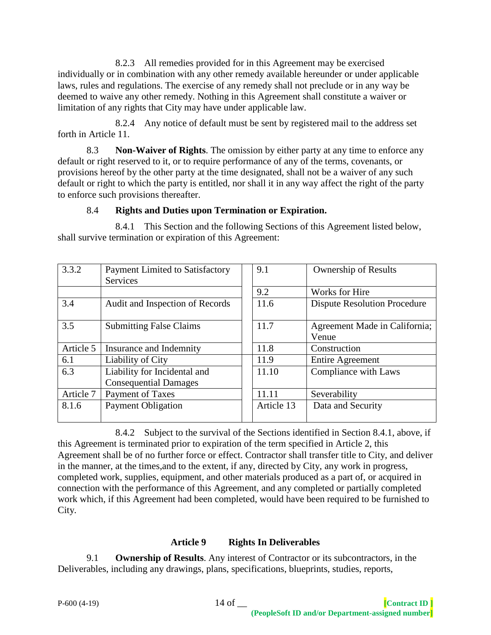8.2.3 All remedies provided for in this Agreement may be exercised individually or in combination with any other remedy available hereunder or under applicable laws, rules and regulations. The exercise of any remedy shall not preclude or in any way be deemed to waive any other remedy. Nothing in this Agreement shall constitute a waiver or limitation of any rights that City may have under applicable law.

8.2.4 Any notice of default must be sent by registered mail to the address set forth in Article 11.

8.3 **Non-Waiver of Rights**. The omission by either party at any time to enforce any default or right reserved to it, or to require performance of any of the terms, covenants, or provisions hereof by the other party at the time designated, shall not be a waiver of any such default or right to which the party is entitled, nor shall it in any way affect the right of the party to enforce such provisions thereafter.

#### 8.4 **Rights and Duties upon Termination or Expiration.**

8.4.1 This Section and the following Sections of this Agreement listed below, shall survive termination or expiration of this Agreement:

| 3.3.2     | <b>Payment Limited to Satisfactory</b><br><b>Services</b> | 9.1        | <b>Ownership of Results</b>         |
|-----------|-----------------------------------------------------------|------------|-------------------------------------|
|           |                                                           | 9.2        | Works for Hire                      |
| 3.4       | Audit and Inspection of Records                           | 11.6       | <b>Dispute Resolution Procedure</b> |
| 3.5       | <b>Submitting False Claims</b>                            | 11.7       | Agreement Made in California;       |
|           |                                                           |            | Venue                               |
| Article 5 | Insurance and Indemnity                                   | 11.8       | Construction                        |
| 6.1       | Liability of City                                         | 11.9       | <b>Entire Agreement</b>             |
| 6.3       | Liability for Incidental and                              | 11.10      | Compliance with Laws                |
|           | <b>Consequential Damages</b>                              |            |                                     |
| Article 7 | Payment of Taxes                                          | 11.11      | Severability                        |
| 8.1.6     | <b>Payment Obligation</b>                                 | Article 13 | Data and Security                   |
|           |                                                           |            |                                     |

8.4.2 Subject to the survival of the Sections identified in Section 8.4.1, above, if this Agreement is terminated prior to expiration of the term specified in Article 2, this Agreement shall be of no further force or effect. Contractor shall transfer title to City, and deliver in the manner, at the times,and to the extent, if any, directed by City, any work in progress, completed work, supplies, equipment, and other materials produced as a part of, or acquired in connection with the performance of this Agreement, and any completed or partially completed work which, if this Agreement had been completed, would have been required to be furnished to City.

# **Article 9 Rights In Deliverables**

9.1 **Ownership of Results**. Any interest of Contractor or its subcontractors, in the Deliverables, including any drawings, plans, specifications, blueprints, studies, reports,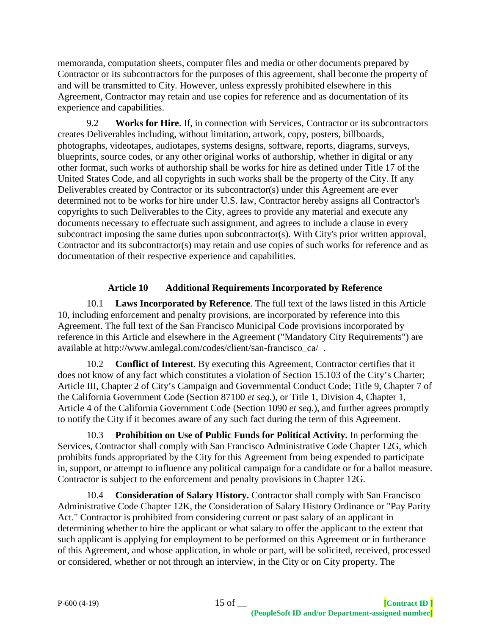memoranda, computation sheets, computer files and media or other documents prepared by Contractor or its subcontractors for the purposes of this agreement, shall become the property of and will be transmitted to City. However, unless expressly prohibited elsewhere in this Agreement, Contractor may retain and use copies for reference and as documentation of its experience and capabilities.

9.2 **Works for Hire**. If, in connection with Services, Contractor or its subcontractors creates Deliverables including, without limitation, artwork, copy, posters, billboards, photographs, videotapes, audiotapes, systems designs, software, reports, diagrams, surveys, blueprints, source codes, or any other original works of authorship, whether in digital or any other format, such works of authorship shall be works for hire as defined under Title 17 of the United States Code, and all copyrights in such works shall be the property of the City. If any Deliverables created by Contractor or its subcontractor(s) under this Agreement are ever determined not to be works for hire under U.S. law, Contractor hereby assigns all Contractor's copyrights to such Deliverables to the City, agrees to provide any material and execute any documents necessary to effectuate such assignment, and agrees to include a clause in every subcontract imposing the same duties upon subcontractor(s). With City's prior written approval, Contractor and its subcontractor(s) may retain and use copies of such works for reference and as documentation of their respective experience and capabilities.

# **Article 10 Additional Requirements Incorporated by Reference**

10.1 **Laws Incorporated by Reference**. The full text of the laws listed in this Article 10, including enforcement and penalty provisions, are incorporated by reference into this Agreement. The full text of the San Francisco Municipal Code provisions incorporated by reference in this Article and elsewhere in the Agreement ("Mandatory City Requirements") are available at http://www.amlegal.com/codes/client/san-francisco\_ca/ .

10.2 **Conflict of Interest**. By executing this Agreement, Contractor certifies that it does not know of any fact which constitutes a violation of Section 15.103 of the City's Charter; Article III, Chapter 2 of City's Campaign and Governmental Conduct Code; Title 9, Chapter 7 of the California Government Code (Section 87100 *et seq.*), or Title 1, Division 4, Chapter 1, Article 4 of the California Government Code (Section 1090 *et seq.*), and further agrees promptly to notify the City if it becomes aware of any such fact during the term of this Agreement.

10.3 **Prohibition on Use of Public Funds for Political Activity.** In performing the Services, Contractor shall comply with San Francisco Administrative Code Chapter 12G, which prohibits funds appropriated by the City for this Agreement from being expended to participate in, support, or attempt to influence any political campaign for a candidate or for a ballot measure. Contractor is subject to the enforcement and penalty provisions in Chapter 12G.

10.4 **Consideration of Salary History.** Contractor shall comply with San Francisco Administrative Code Chapter 12K, the Consideration of Salary History Ordinance or "Pay Parity Act." Contractor is prohibited from considering current or past salary of an applicant in determining whether to hire the applicant or what salary to offer the applicant to the extent that such applicant is applying for employment to be performed on this Agreement or in furtherance of this Agreement, and whose application, in whole or part, will be solicited, received, processed or considered, whether or not through an interview, in the City or on City property. The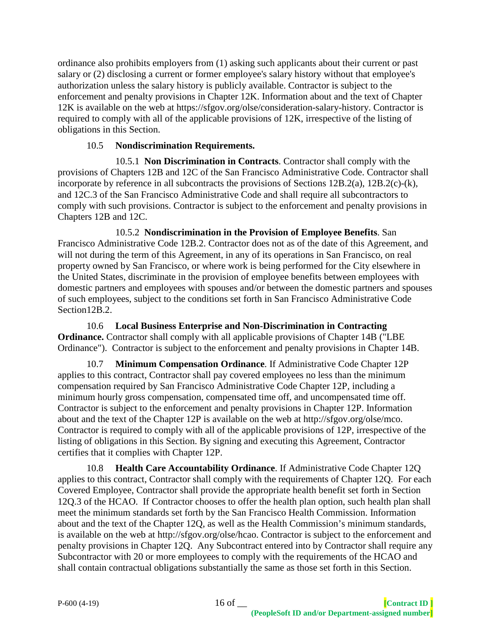ordinance also prohibits employers from (1) asking such applicants about their current or past salary or (2) disclosing a current or former employee's salary history without that employee's authorization unless the salary history is publicly available. Contractor is subject to the enforcement and penalty provisions in Chapter 12K. Information about and the text of Chapter 12K is available on the web at https://sfgov.org/olse/consideration-salary-history. Contractor is required to comply with all of the applicable provisions of 12K, irrespective of the listing of obligations in this Section.

### 10.5 **Nondiscrimination Requirements.**

10.5.1 **Non Discrimination in Contracts**. Contractor shall comply with the provisions of Chapters 12B and 12C of the San Francisco Administrative Code. Contractor shall incorporate by reference in all subcontracts the provisions of Sections 12B.2(a), 12B.2(c)-(k), and 12C.3 of the San Francisco Administrative Code and shall require all subcontractors to comply with such provisions. Contractor is subject to the enforcement and penalty provisions in Chapters 12B and 12C.

10.5.2 **Nondiscrimination in the Provision of Employee Benefits**. San Francisco Administrative Code 12B.2. Contractor does not as of the date of this Agreement, and will not during the term of this Agreement, in any of its operations in San Francisco, on real property owned by San Francisco, or where work is being performed for the City elsewhere in the United States, discriminate in the provision of employee benefits between employees with domestic partners and employees with spouses and/or between the domestic partners and spouses of such employees, subject to the conditions set forth in San Francisco Administrative Code Section12B.2.

10.6 **Local Business Enterprise and Non-Discrimination in Contracting Ordinance.** Contractor shall comply with all applicable provisions of Chapter 14B ("LBE Ordinance"). Contractor is subject to the enforcement and penalty provisions in Chapter 14B.

10.7 **Minimum Compensation Ordinance**. If Administrative Code Chapter 12P applies to this contract, Contractor shall pay covered employees no less than the minimum compensation required by San Francisco Administrative Code Chapter 12P, including a minimum hourly gross compensation, compensated time off, and uncompensated time off. Contractor is subject to the enforcement and penalty provisions in Chapter 12P. Information about and the text of the Chapter 12P is available on the web at http://sfgov.org/olse/mco. Contractor is required to comply with all of the applicable provisions of 12P, irrespective of the listing of obligations in this Section. By signing and executing this Agreement, Contractor certifies that it complies with Chapter 12P.

10.8 **Health Care Accountability Ordinance**. If Administrative Code Chapter 12Q applies to this contract, Contractor shall comply with the requirements of Chapter 12Q. For each Covered Employee, Contractor shall provide the appropriate health benefit set forth in Section 12Q.3 of the HCAO. If Contractor chooses to offer the health plan option, such health plan shall meet the minimum standards set forth by the San Francisco Health Commission. Information about and the text of the Chapter 12Q, as well as the Health Commission's minimum standards, is available on the web at http://sfgov.org/olse/hcao. Contractor is subject to the enforcement and penalty provisions in Chapter 12Q. Any Subcontract entered into by Contractor shall require any Subcontractor with 20 or more employees to comply with the requirements of the HCAO and shall contain contractual obligations substantially the same as those set forth in this Section.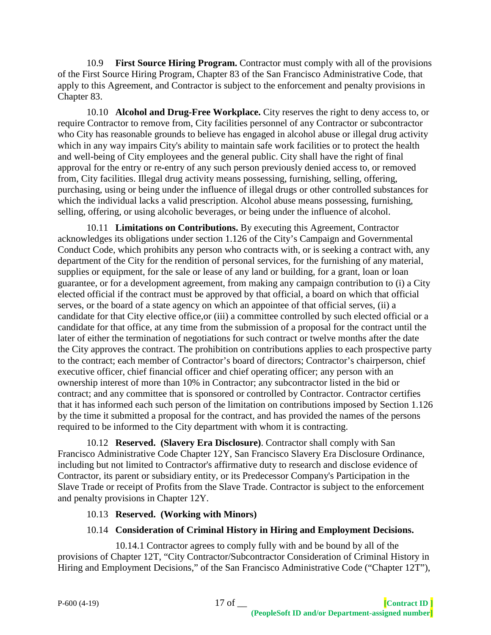10.9 **First Source Hiring Program.** Contractor must comply with all of the provisions of the First Source Hiring Program, Chapter 83 of the San Francisco Administrative Code, that apply to this Agreement, and Contractor is subject to the enforcement and penalty provisions in Chapter 83.

10.10 **Alcohol and Drug-Free Workplace.** City reserves the right to deny access to, or require Contractor to remove from, City facilities personnel of any Contractor or subcontractor who City has reasonable grounds to believe has engaged in alcohol abuse or illegal drug activity which in any way impairs City's ability to maintain safe work facilities or to protect the health and well-being of City employees and the general public. City shall have the right of final approval for the entry or re-entry of any such person previously denied access to, or removed from, City facilities. Illegal drug activity means possessing, furnishing, selling, offering, purchasing, using or being under the influence of illegal drugs or other controlled substances for which the individual lacks a valid prescription. Alcohol abuse means possessing, furnishing, selling, offering, or using alcoholic beverages, or being under the influence of alcohol.

10.11 **Limitations on Contributions.** By executing this Agreement, Contractor acknowledges its obligations under section 1.126 of the City's Campaign and Governmental Conduct Code, which prohibits any person who contracts with, or is seeking a contract with, any department of the City for the rendition of personal services, for the furnishing of any material, supplies or equipment, for the sale or lease of any land or building, for a grant, loan or loan guarantee, or for a development agreement, from making any campaign contribution to (i) a City elected official if the contract must be approved by that official, a board on which that official serves, or the board of a state agency on which an appointee of that official serves, (ii) a candidate for that City elective office,or (iii) a committee controlled by such elected official or a candidate for that office, at any time from the submission of a proposal for the contract until the later of either the termination of negotiations for such contract or twelve months after the date the City approves the contract. The prohibition on contributions applies to each prospective party to the contract; each member of Contractor's board of directors; Contractor's chairperson, chief executive officer, chief financial officer and chief operating officer; any person with an ownership interest of more than 10% in Contractor; any subcontractor listed in the bid or contract; and any committee that is sponsored or controlled by Contractor. Contractor certifies that it has informed each such person of the limitation on contributions imposed by Section 1.126 by the time it submitted a proposal for the contract, and has provided the names of the persons required to be informed to the City department with whom it is contracting.

10.12 **Reserved. (Slavery Era Disclosure)**. Contractor shall comply with San Francisco Administrative Code Chapter 12Y, San Francisco Slavery Era Disclosure Ordinance, including but not limited to Contractor's affirmative duty to research and disclose evidence of Contractor, its parent or subsidiary entity, or its Predecessor Company's Participation in the Slave Trade or receipt of Profits from the Slave Trade. Contractor is subject to the enforcement and penalty provisions in Chapter 12Y.

### 10.13 **Reserved. (Working with Minors)**

# 10.14 **Consideration of Criminal History in Hiring and Employment Decisions.**

10.14.1 Contractor agrees to comply fully with and be bound by all of the provisions of Chapter 12T, "City Contractor/Subcontractor Consideration of Criminal History in Hiring and Employment Decisions," of the San Francisco Administrative Code ("Chapter 12T"),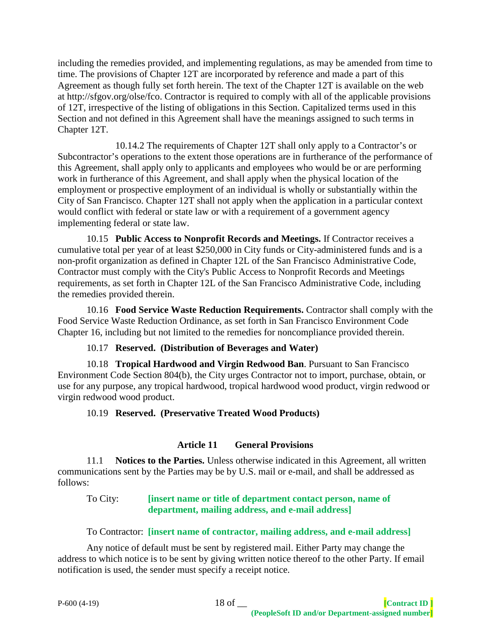including the remedies provided, and implementing regulations, as may be amended from time to time. The provisions of Chapter 12T are incorporated by reference and made a part of this Agreement as though fully set forth herein. The text of the Chapter 12T is available on the web at http://sfgov.org/olse/fco. Contractor is required to comply with all of the applicable provisions of 12T, irrespective of the listing of obligations in this Section. Capitalized terms used in this Section and not defined in this Agreement shall have the meanings assigned to such terms in Chapter 12T.

10.14.2 The requirements of Chapter 12T shall only apply to a Contractor's or Subcontractor's operations to the extent those operations are in furtherance of the performance of this Agreement, shall apply only to applicants and employees who would be or are performing work in furtherance of this Agreement, and shall apply when the physical location of the employment or prospective employment of an individual is wholly or substantially within the City of San Francisco. Chapter 12T shall not apply when the application in a particular context would conflict with federal or state law or with a requirement of a government agency implementing federal or state law.

10.15 **Public Access to Nonprofit Records and Meetings.** If Contractor receives a cumulative total per year of at least \$250,000 in City funds or City-administered funds and is a non-profit organization as defined in Chapter 12L of the San Francisco Administrative Code, Contractor must comply with the City's Public Access to Nonprofit Records and Meetings requirements, as set forth in Chapter 12L of the San Francisco Administrative Code, including the remedies provided therein.

10.16 **Food Service Waste Reduction Requirements.** Contractor shall comply with the Food Service Waste Reduction Ordinance, as set forth in San Francisco Environment Code Chapter 16, including but not limited to the remedies for noncompliance provided therein.

# 10.17 **Reserved. (Distribution of Beverages and Water)**

10.18 **Tropical Hardwood and Virgin Redwood Ban**. Pursuant to San Francisco Environment Code Section 804(b), the City urges Contractor not to import, purchase, obtain, or use for any purpose, any tropical hardwood, tropical hardwood wood product, virgin redwood or virgin redwood wood product.

# 10.19 **Reserved. (Preservative Treated Wood Products)**

# **Article 11 General Provisions**

11.1 **Notices to the Parties.** Unless otherwise indicated in this Agreement, all written communications sent by the Parties may be by U.S. mail or e-mail, and shall be addressed as follows:

### To City: **[insert name or title of department contact person, name of department, mailing address, and e-mail address]**

### To Contractor: **[insert name of contractor, mailing address, and e-mail address]**

Any notice of default must be sent by registered mail. Either Party may change the address to which notice is to be sent by giving written notice thereof to the other Party. If email notification is used, the sender must specify a receipt notice.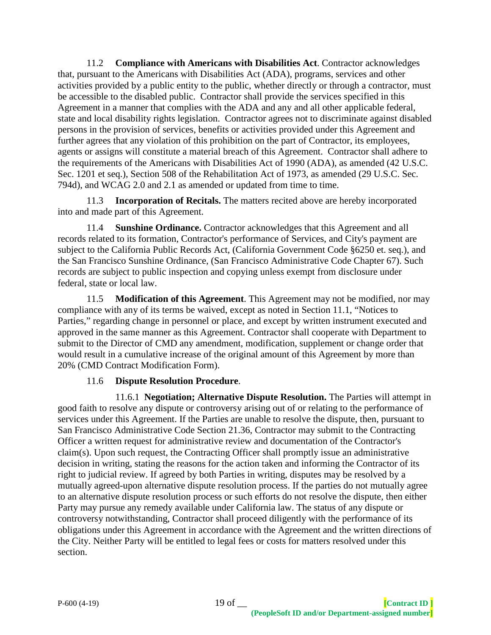11.2 **Compliance with Americans with Disabilities Act**. Contractor acknowledges that, pursuant to the Americans with Disabilities Act (ADA), programs, services and other activities provided by a public entity to the public, whether directly or through a contractor, must be accessible to the disabled public. Contractor shall provide the services specified in this Agreement in a manner that complies with the ADA and any and all other applicable federal, state and local disability rights legislation. Contractor agrees not to discriminate against disabled persons in the provision of services, benefits or activities provided under this Agreement and further agrees that any violation of this prohibition on the part of Contractor, its employees, agents or assigns will constitute a material breach of this Agreement. Contractor shall adhere to the requirements of the Americans with Disabilities Act of 1990 (ADA), as amended (42 U.S.C. Sec. 1201 et seq.), Section 508 of the Rehabilitation Act of 1973, as amended (29 U.S.C. Sec. 794d), and WCAG 2.0 and 2.1 as amended or updated from time to time.

11.3 **Incorporation of Recitals.** The matters recited above are hereby incorporated into and made part of this Agreement.

11.4 **Sunshine Ordinance.** Contractor acknowledges that this Agreement and all records related to its formation, Contractor's performance of Services, and City's payment are subject to the California Public Records Act, (California Government Code §6250 et. seq.), and the San Francisco Sunshine Ordinance, (San Francisco Administrative Code Chapter 67). Such records are subject to public inspection and copying unless exempt from disclosure under federal, state or local law.

11.5 **Modification of this Agreement**. This Agreement may not be modified, nor may compliance with any of its terms be waived, except as noted in Section 11.1, "Notices to Parties," regarding change in personnel or place, and except by written instrument executed and approved in the same manner as this Agreement. Contractor shall cooperate with Department to submit to the Director of CMD any amendment, modification, supplement or change order that would result in a cumulative increase of the original amount of this Agreement by more than 20% (CMD Contract Modification Form).

### 11.6 **Dispute Resolution Procedure**.

11.6.1 **Negotiation; Alternative Dispute Resolution.** The Parties will attempt in good faith to resolve any dispute or controversy arising out of or relating to the performance of services under this Agreement. If the Parties are unable to resolve the dispute, then, pursuant to San Francisco Administrative Code Section 21.36, Contractor may submit to the Contracting Officer a written request for administrative review and documentation of the Contractor's claim(s). Upon such request, the Contracting Officer shall promptly issue an administrative decision in writing, stating the reasons for the action taken and informing the Contractor of its right to judicial review. If agreed by both Parties in writing, disputes may be resolved by a mutually agreed-upon alternative dispute resolution process. If the parties do not mutually agree to an alternative dispute resolution process or such efforts do not resolve the dispute, then either Party may pursue any remedy available under California law. The status of any dispute or controversy notwithstanding, Contractor shall proceed diligently with the performance of its obligations under this Agreement in accordance with the Agreement and the written directions of the City. Neither Party will be entitled to legal fees or costs for matters resolved under this section.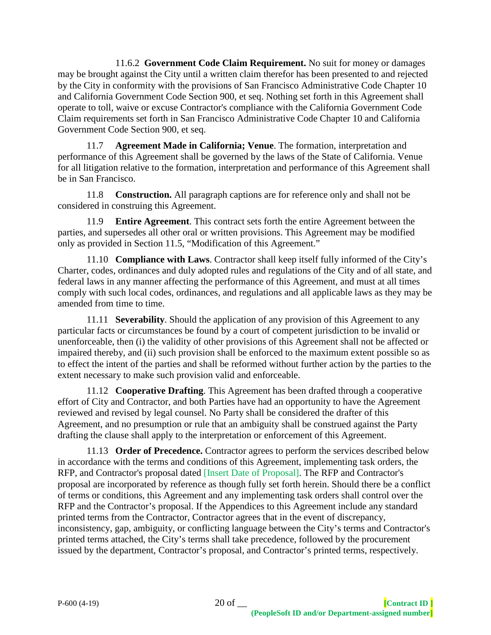11.6.2 **Government Code Claim Requirement.** No suit for money or damages may be brought against the City until a written claim therefor has been presented to and rejected by the City in conformity with the provisions of San Francisco Administrative Code Chapter 10 and California Government Code Section 900, et seq. Nothing set forth in this Agreement shall operate to toll, waive or excuse Contractor's compliance with the California Government Code Claim requirements set forth in San Francisco Administrative Code Chapter 10 and California Government Code Section 900, et seq.

11.7 **Agreement Made in California; Venue**. The formation, interpretation and performance of this Agreement shall be governed by the laws of the State of California. Venue for all litigation relative to the formation, interpretation and performance of this Agreement shall be in San Francisco.

11.8 **Construction.** All paragraph captions are for reference only and shall not be considered in construing this Agreement.

11.9 **Entire Agreement**. This contract sets forth the entire Agreement between the parties, and supersedes all other oral or written provisions. This Agreement may be modified only as provided in Section 11.5, "Modification of this Agreement."

11.10 **Compliance with Laws**. Contractor shall keep itself fully informed of the City's Charter, codes, ordinances and duly adopted rules and regulations of the City and of all state, and federal laws in any manner affecting the performance of this Agreement, and must at all times comply with such local codes, ordinances, and regulations and all applicable laws as they may be amended from time to time.

11.11 **Severability**. Should the application of any provision of this Agreement to any particular facts or circumstances be found by a court of competent jurisdiction to be invalid or unenforceable, then (i) the validity of other provisions of this Agreement shall not be affected or impaired thereby, and (ii) such provision shall be enforced to the maximum extent possible so as to effect the intent of the parties and shall be reformed without further action by the parties to the extent necessary to make such provision valid and enforceable.

11.12 **Cooperative Drafting**. This Agreement has been drafted through a cooperative effort of City and Contractor, and both Parties have had an opportunity to have the Agreement reviewed and revised by legal counsel. No Party shall be considered the drafter of this Agreement, and no presumption or rule that an ambiguity shall be construed against the Party drafting the clause shall apply to the interpretation or enforcement of this Agreement.

11.13 **Order of Precedence.** Contractor agrees to perform the services described below in accordance with the terms and conditions of this Agreement, implementing task orders, the RFP, and Contractor's proposal dated [Insert Date of Proposal]. The RFP and Contractor's proposal are incorporated by reference as though fully set forth herein. Should there be a conflict of terms or conditions, this Agreement and any implementing task orders shall control over the RFP and the Contractor's proposal. If the Appendices to this Agreement include any standard printed terms from the Contractor, Contractor agrees that in the event of discrepancy, inconsistency, gap, ambiguity, or conflicting language between the City's terms and Contractor's printed terms attached, the City's terms shall take precedence, followed by the procurement issued by the department, Contractor's proposal, and Contractor's printed terms, respectively.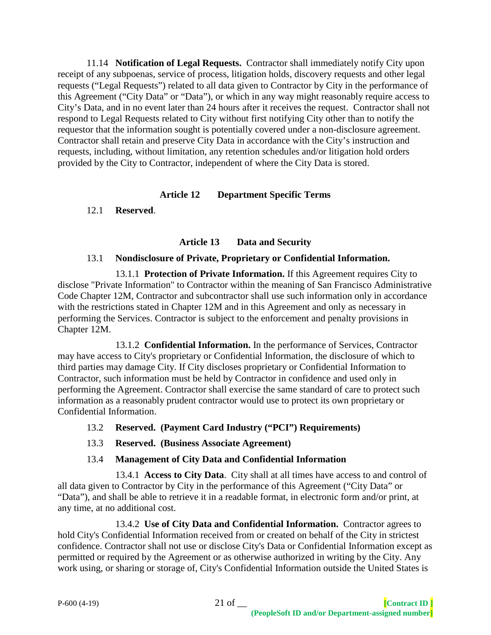11.14 **Notification of Legal Requests.** Contractor shall immediately notify City upon receipt of any subpoenas, service of process, litigation holds, discovery requests and other legal requests ("Legal Requests") related to all data given to Contractor by City in the performance of this Agreement ("City Data" or "Data"), or which in any way might reasonably require access to City's Data, and in no event later than 24 hours after it receives the request. Contractor shall not respond to Legal Requests related to City without first notifying City other than to notify the requestor that the information sought is potentially covered under a non-disclosure agreement. Contractor shall retain and preserve City Data in accordance with the City's instruction and requests, including, without limitation, any retention schedules and/or litigation hold orders provided by the City to Contractor, independent of where the City Data is stored.

### **Article 12 Department Specific Terms**

12.1 **Reserved**.

# **Article 13 Data and Security**

#### 13.1 **Nondisclosure of Private, Proprietary or Confidential Information.**

13.1.1 **Protection of Private Information.** If this Agreement requires City to disclose "Private Information" to Contractor within the meaning of San Francisco Administrative Code Chapter 12M, Contractor and subcontractor shall use such information only in accordance with the restrictions stated in Chapter 12M and in this Agreement and only as necessary in performing the Services. Contractor is subject to the enforcement and penalty provisions in Chapter 12M.

13.1.2 **Confidential Information.** In the performance of Services, Contractor may have access to City's proprietary or Confidential Information, the disclosure of which to third parties may damage City. If City discloses proprietary or Confidential Information to Contractor, such information must be held by Contractor in confidence and used only in performing the Agreement. Contractor shall exercise the same standard of care to protect such information as a reasonably prudent contractor would use to protect its own proprietary or Confidential Information.

### 13.2 **Reserved. (Payment Card Industry ("PCI") Requirements)**

13.3 **Reserved. (Business Associate Agreement)**

### 13.4 **Management of City Data and Confidential Information**

13.4.1 **Access to City Data**. City shall at all times have access to and control of all data given to Contractor by City in the performance of this Agreement ("City Data" or "Data"), and shall be able to retrieve it in a readable format, in electronic form and/or print, at any time, at no additional cost.

13.4.2 **Use of City Data and Confidential Information.** Contractor agrees to hold City's Confidential Information received from or created on behalf of the City in strictest confidence. Contractor shall not use or disclose City's Data or Confidential Information except as permitted or required by the Agreement or as otherwise authorized in writing by the City. Any work using, or sharing or storage of, City's Confidential Information outside the United States is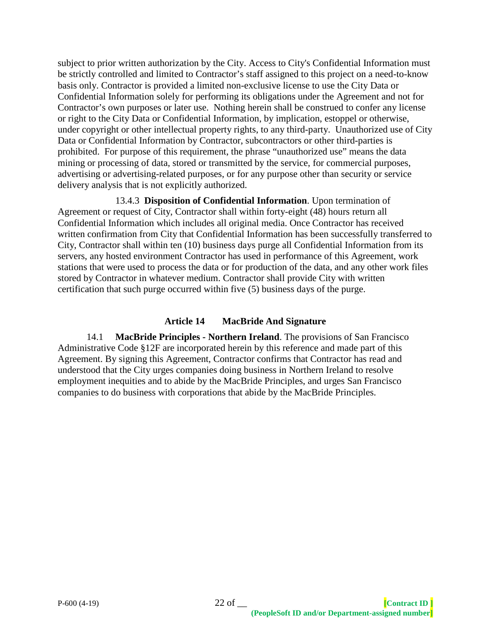subject to prior written authorization by the City. Access to City's Confidential Information must be strictly controlled and limited to Contractor's staff assigned to this project on a need-to-know basis only. Contractor is provided a limited non-exclusive license to use the City Data or Confidential Information solely for performing its obligations under the Agreement and not for Contractor's own purposes or later use. Nothing herein shall be construed to confer any license or right to the City Data or Confidential Information, by implication, estoppel or otherwise, under copyright or other intellectual property rights, to any third-party. Unauthorized use of City Data or Confidential Information by Contractor, subcontractors or other third-parties is prohibited. For purpose of this requirement, the phrase "unauthorized use" means the data mining or processing of data, stored or transmitted by the service, for commercial purposes, advertising or advertising-related purposes, or for any purpose other than security or service delivery analysis that is not explicitly authorized.

13.4.3 **Disposition of Confidential Information**. Upon termination of Agreement or request of City, Contractor shall within forty-eight (48) hours return all Confidential Information which includes all original media. Once Contractor has received written confirmation from City that Confidential Information has been successfully transferred to City, Contractor shall within ten (10) business days purge all Confidential Information from its servers, any hosted environment Contractor has used in performance of this Agreement, work stations that were used to process the data or for production of the data, and any other work files stored by Contractor in whatever medium. Contractor shall provide City with written certification that such purge occurred within five (5) business days of the purge.

### **Article 14 MacBride And Signature**

14.1 **MacBride Principles - Northern Ireland**. The provisions of San Francisco Administrative Code §12F are incorporated herein by this reference and made part of this Agreement. By signing this Agreement, Contractor confirms that Contractor has read and understood that the City urges companies doing business in Northern Ireland to resolve employment inequities and to abide by the MacBride Principles, and urges San Francisco companies to do business with corporations that abide by the MacBride Principles.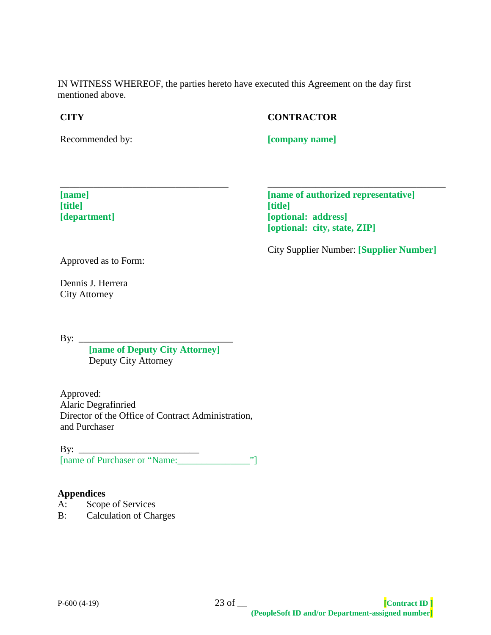IN WITNESS WHEREOF, the parties hereto have executed this Agreement on the day first mentioned above.

### **CITY**

### **CONTRACTOR**

Recommended by:

**[company name]**

**[name] [title] [department]** **[name of authorized representative] [title] [optional: address] [optional: city, state, ZIP]**

City Supplier Number: **[Supplier Number]**

\_\_\_\_\_\_\_\_\_\_\_\_\_\_\_\_\_\_\_\_\_\_\_\_\_\_\_\_\_\_\_\_\_\_\_\_\_

Approved as to Form:

Dennis J. Herrera City Attorney

By: \_\_\_\_\_\_\_\_\_\_\_\_\_\_\_\_\_\_\_\_\_\_\_\_\_\_\_\_\_\_\_\_

**[name of Deputy City Attorney]** Deputy City Attorney

\_\_\_\_\_\_\_\_\_\_\_\_\_\_\_\_\_\_\_\_\_\_\_\_\_\_\_\_\_\_\_\_\_\_\_

Approved: Alaric Degrafinried Director of the Office of Contract Administration, and Purchaser

By: \_\_\_\_\_\_\_\_\_\_\_\_\_\_\_\_\_\_\_\_\_\_\_\_\_ [name of Purchaser or "Name:\_\_\_\_\_\_\_\_\_\_\_\_\_\_\_"]

### **Appendices**

- A: Scope of Services
- B: Calculation of Charges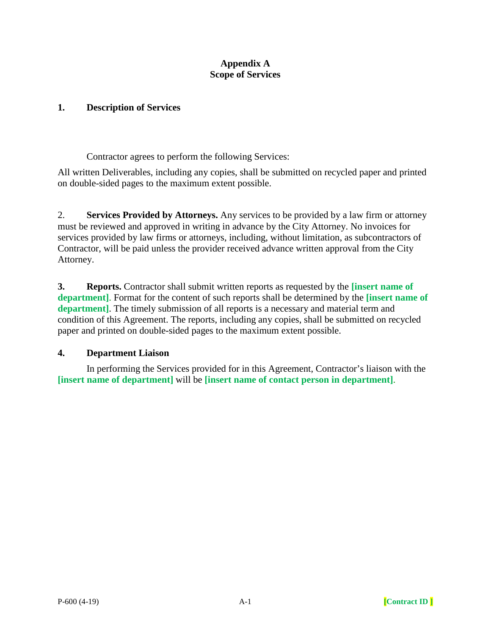### **Appendix A Scope of Services**

#### **1. Description of Services**

Contractor agrees to perform the following Services:

All written Deliverables, including any copies, shall be submitted on recycled paper and printed on double-sided pages to the maximum extent possible.

2. **Services Provided by Attorneys.** Any services to be provided by a law firm or attorney must be reviewed and approved in writing in advance by the City Attorney. No invoices for services provided by law firms or attorneys, including, without limitation, as subcontractors of Contractor, will be paid unless the provider received advance written approval from the City Attorney.

**3. Reports.** Contractor shall submit written reports as requested by the **[insert name of department]**. Format for the content of such reports shall be determined by the **[insert name of department]**. The timely submission of all reports is a necessary and material term and condition of this Agreement. The reports, including any copies, shall be submitted on recycled paper and printed on double-sided pages to the maximum extent possible.

### **4. Department Liaison**

In performing the Services provided for in this Agreement, Contractor's liaison with the **[insert name of department]** will be **[insert name of contact person in department]**.